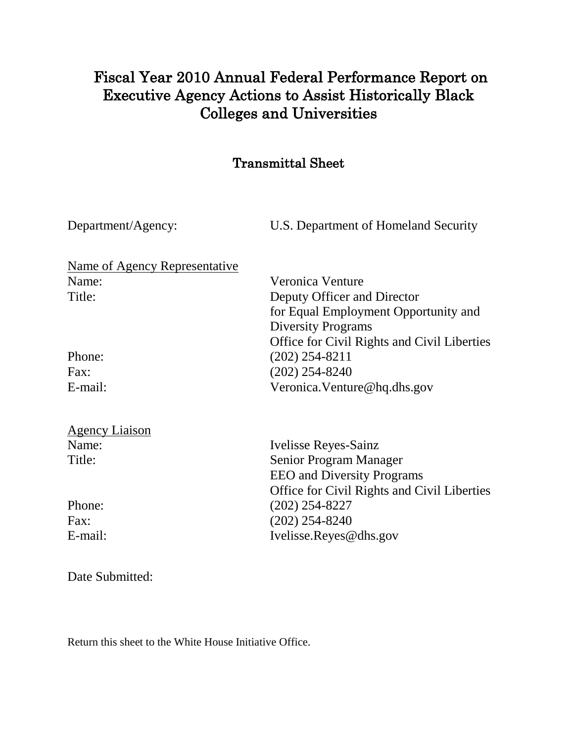## Fiscal Year 2010 Annual Federal Performance Report on Executive Agency Actions to Assist Historically Black Colleges and Universities

#### Transmittal Sheet

Department/Agency:U.S. Department of Homeland Security

| Name of Agency Representative |                                             |  |  |  |  |
|-------------------------------|---------------------------------------------|--|--|--|--|
| Name:                         | Veronica Venture                            |  |  |  |  |
| Title:                        | Deputy Officer and Director                 |  |  |  |  |
|                               | for Equal Employment Opportunity and        |  |  |  |  |
|                               | <b>Diversity Programs</b>                   |  |  |  |  |
|                               | Office for Civil Rights and Civil Liberties |  |  |  |  |
| Phone:                        | $(202)$ 254-8211                            |  |  |  |  |
| Fax:                          | $(202)$ 254-8240                            |  |  |  |  |
| E-mail:                       | Veronica. Venture @hq.dhs.gov               |  |  |  |  |
| <b>Agency Liaison</b>         |                                             |  |  |  |  |
| Name:                         | Ivelisse Reyes-Sainz                        |  |  |  |  |
| Title:                        | Senior Program Manager                      |  |  |  |  |
|                               | <b>EEO</b> and Diversity Programs           |  |  |  |  |
|                               | Office for Civil Rights and Civil Liberties |  |  |  |  |
| Phone:                        | (202) 254-8227                              |  |  |  |  |

Fax: (202) 254-8240 E-mail: Ivelisse.Reyes@dhs.gov

Date Submitted:

Return this sheet to the White House Initiative Office.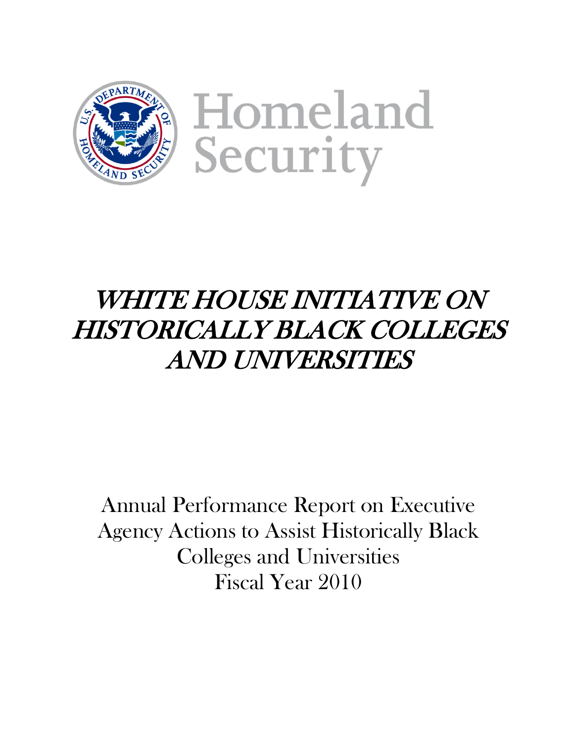

Homeland Security

# WHITE HOUSE INITIATIVE ON HISTORICALLY BLACK COLLEGES AND UNIVERSITIES

Annual Performance Report on Executive Agency Actions to Assist Historically Black Colleges and Universities Fiscal Year 2010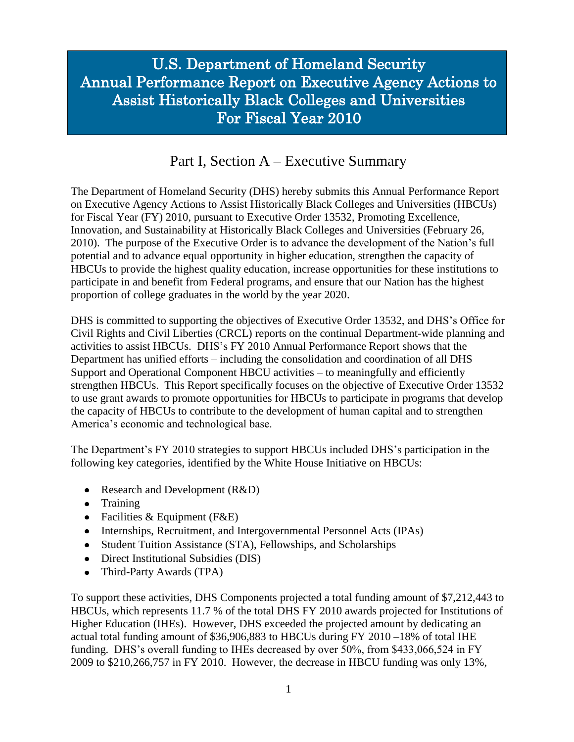## U.S. Department of Homeland Security Annual Performance Report on Executive Agency Actions to Assist Historically Black Colleges and Universities For Fiscal Year 2010

#### Part I, Section A – Executive Summary

I

The Department of Homeland Security (DHS) hereby submits this Annual Performance Report on Executive Agency Actions to Assist Historically Black Colleges and Universities (HBCUs) for Fiscal Year (FY) 2010, pursuant to Executive Order 13532, Promoting Excellence, Innovation, and Sustainability at Historically Black Colleges and Universities (February 26, 2010). The purpose of the Executive Order is to advance the development of the Nation's full potential and to advance equal opportunity in higher education, strengthen the capacity of HBCUs to provide the highest quality education, increase opportunities for these institutions to participate in and benefit from Federal programs, and ensure that our Nation has the highest proportion of college graduates in the world by the year 2020.

DHS is committed to supporting the objectives of Executive Order 13532, and DHS's Office for Civil Rights and Civil Liberties (CRCL) reports on the continual Department-wide planning and activities to assist HBCUs. DHS's FY 2010 Annual Performance Report shows that the Department has unified efforts – including the consolidation and coordination of all DHS Support and Operational Component HBCU activities – to meaningfully and efficiently strengthen HBCUs. This Report specifically focuses on the objective of Executive Order 13532 to use grant awards to promote opportunities for HBCUs to participate in programs that develop the capacity of HBCUs to contribute to the development of human capital and to strengthen America's economic and technological base.

The Department's FY 2010 strategies to support HBCUs included DHS's participation in the following key categories, identified by the White House Initiative on HBCUs:

- Research and Development (R&D)
- Training
- Facilities  $& Equipment$  (F&E)
- Internships, Recruitment, and Intergovernmental Personnel Acts (IPAs)
- Student Tuition Assistance (STA), Fellowships, and Scholarships
- Direct Institutional Subsidies (DIS)
- Third-Party Awards (TPA)  $\bullet$

To support these activities, DHS Components projected a total funding amount of \$7,212,443 to HBCUs, which represents 11.7 % of the total DHS FY 2010 awards projected for Institutions of Higher Education (IHEs). However, DHS exceeded the projected amount by dedicating an actual total funding amount of \$36,906,883 to HBCUs during FY 2010 –18% of total IHE funding. DHS's overall funding to IHEs decreased by over 50%, from \$433,066,524 in FY 2009 to \$210,266,757 in FY 2010. However, the decrease in HBCU funding was only 13%,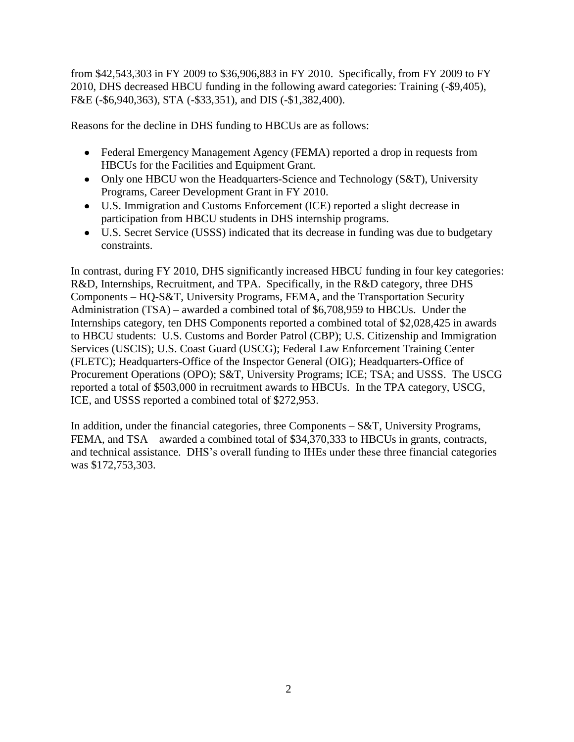from \$42,543,303 in FY 2009 to \$36,906,883 in FY 2010. Specifically, from FY 2009 to FY 2010, DHS decreased HBCU funding in the following award categories: Training (-\$9,405), F&E (-\$6,940,363), STA (-\$33,351), and DIS (-\$1,382,400).

Reasons for the decline in DHS funding to HBCUs are as follows:

- Federal Emergency Management Agency (FEMA) reported a drop in requests from HBCUs for the Facilities and Equipment Grant.
- Only one HBCU won the Headquarters-Science and Technology (S&T), University Programs, Career Development Grant in FY 2010.
- U.S. Immigration and Customs Enforcement (ICE) reported a slight decrease in participation from HBCU students in DHS internship programs.
- U.S. Secret Service (USSS) indicated that its decrease in funding was due to budgetary constraints.

In contrast, during FY 2010, DHS significantly increased HBCU funding in four key categories: R&D, Internships, Recruitment, and TPA. Specifically, in the R&D category, three DHS Components – HQ-S&T, University Programs, FEMA, and the Transportation Security Administration (TSA) – awarded a combined total of \$6,708,959 to HBCUs. Under the Internships category, ten DHS Components reported a combined total of \$2,028,425 in awards to HBCU students: U.S. Customs and Border Patrol (CBP); U.S. Citizenship and Immigration Services (USCIS); U.S. Coast Guard (USCG); Federal Law Enforcement Training Center (FLETC); Headquarters-Office of the Inspector General (OIG); Headquarters-Office of Procurement Operations (OPO); S&T, University Programs; ICE; TSA; and USSS. The USCG reported a total of \$503,000 in recruitment awards to HBCUs. In the TPA category, USCG, ICE, and USSS reported a combined total of \$272,953.

In addition, under the financial categories, three Components – S&T, University Programs, FEMA, and TSA – awarded a combined total of \$34,370,333 to HBCUs in grants, contracts, and technical assistance. DHS's overall funding to IHEs under these three financial categories was \$172,753,303.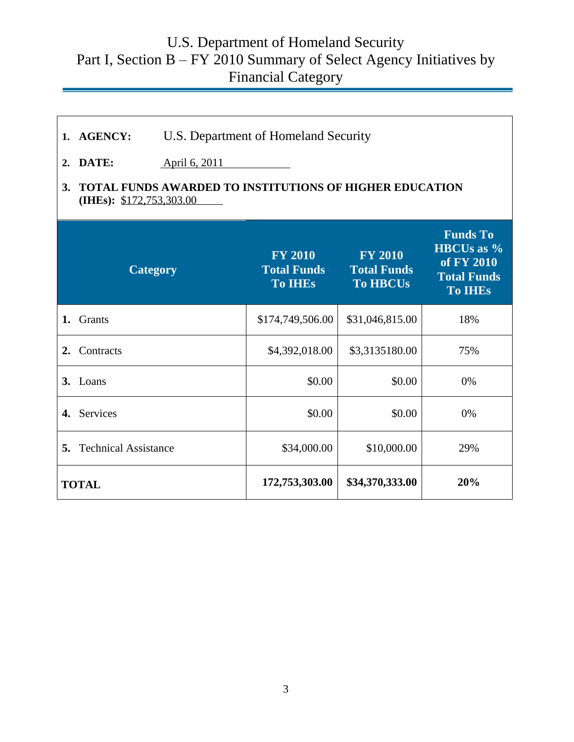# U.S. Department of Homeland Security Part I, Section B – FY 2010 Summary of Select Agency Initiatives by Financial Category

| 2.<br>3.       | U.S. Department of Homeland Security<br>1. AGENCY:<br>DATE:<br>April 6, 2011<br>TOTAL FUNDS AWARDED TO INSTITUTIONS OF HIGHER EDUCATION |  |                                                        |                                                         |                                                                                            |        |    |  |  |  |  |
|----------------|-----------------------------------------------------------------------------------------------------------------------------------------|--|--------------------------------------------------------|---------------------------------------------------------|--------------------------------------------------------------------------------------------|--------|----|--|--|--|--|
|                | (IHEs): $$172,753,303.00$                                                                                                               |  |                                                        |                                                         |                                                                                            |        |    |  |  |  |  |
|                | <b>Category</b>                                                                                                                         |  | <b>FY 2010</b><br><b>Total Funds</b><br><b>To IHES</b> | <b>FY 2010</b><br><b>Total Funds</b><br><b>To HBCUs</b> | <b>Funds To</b><br><b>HBCUs as %</b><br>of FY 2010<br><b>Total Funds</b><br><b>To IHEs</b> |        |    |  |  |  |  |
| 1.             | Grants                                                                                                                                  |  | \$174,749,506.00                                       | \$31,046,815.00                                         | 18%                                                                                        |        |    |  |  |  |  |
| 2.             | Contracts                                                                                                                               |  |                                                        | \$3,3135180.00                                          | 75%                                                                                        |        |    |  |  |  |  |
|                | 3. Loans                                                                                                                                |  |                                                        | \$0.00                                                  |                                                                                            | \$0.00 | 0% |  |  |  |  |
| $\mathbf{4}$ . | Services                                                                                                                                |  | \$0.00                                                 | \$0.00                                                  | 0%                                                                                         |        |    |  |  |  |  |
| 5.             | <b>Technical Assistance</b>                                                                                                             |  | \$34,000.00                                            | \$10,000.00                                             | 29%                                                                                        |        |    |  |  |  |  |
|                | <b>TOTAL</b>                                                                                                                            |  | 172,753,303.00                                         | \$34,370,333.00                                         | 20%                                                                                        |        |    |  |  |  |  |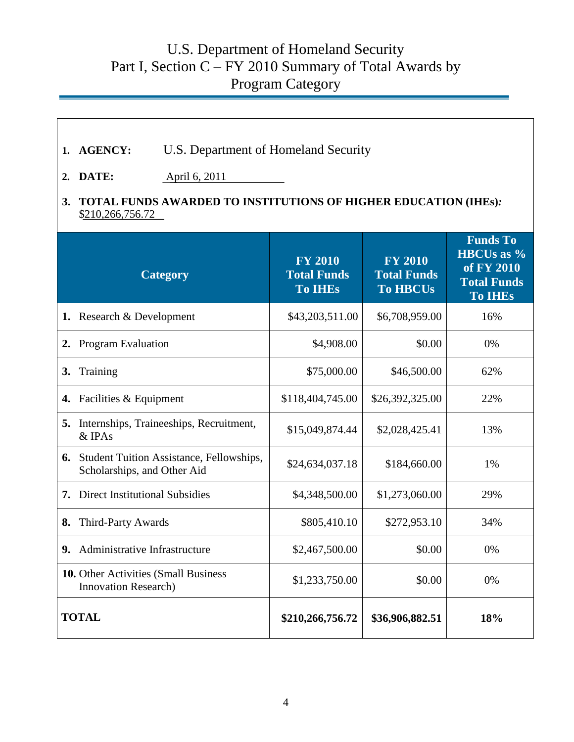## U.S. Department of Homeland Security Part I, Section  $C$  – FY 2010 Summary of Total Awards by Program Category

| 1.               | <b>AGENCY:</b>                                                                      | U.S. Department of Homeland Security            |                                                        |                                                         |                                                                                            |  |  |  |  |  |  |
|------------------|-------------------------------------------------------------------------------------|-------------------------------------------------|--------------------------------------------------------|---------------------------------------------------------|--------------------------------------------------------------------------------------------|--|--|--|--|--|--|
| $\overline{2}$ . | DATE:<br>April 6, 2011                                                              |                                                 |                                                        |                                                         |                                                                                            |  |  |  |  |  |  |
| 3.               | TOTAL FUNDS AWARDED TO INSTITUTIONS OF HIGHER EDUCATION (IHEs):<br>\$210,266,756.72 |                                                 |                                                        |                                                         |                                                                                            |  |  |  |  |  |  |
|                  |                                                                                     | <b>Category</b>                                 | <b>FY 2010</b><br><b>Total Funds</b><br><b>To IHEs</b> | <b>FY 2010</b><br><b>Total Funds</b><br><b>To HBCUs</b> | <b>Funds To</b><br><b>HBCUs as %</b><br>of FY 2010<br><b>Total Funds</b><br><b>To IHEs</b> |  |  |  |  |  |  |
| 1.               | Research & Development                                                              |                                                 | \$43,203,511.00                                        | \$6,708,959.00                                          | 16%                                                                                        |  |  |  |  |  |  |
| 2.               | <b>Program Evaluation</b>                                                           |                                                 | \$4,908.00                                             | \$0.00                                                  | 0%                                                                                         |  |  |  |  |  |  |
| 3.               | Training                                                                            |                                                 | \$75,000.00                                            | \$46,500.00                                             | 62%                                                                                        |  |  |  |  |  |  |
| 4.               | Facilities & Equipment                                                              |                                                 | \$118,404,745.00                                       | \$26,392,325.00                                         | 22%                                                                                        |  |  |  |  |  |  |
| 5.               | & IPAs                                                                              | Internships, Traineeships, Recruitment,         |                                                        | \$2,028,425.41                                          | 13%                                                                                        |  |  |  |  |  |  |
| 6.               | Scholarships, and Other Aid                                                         | <b>Student Tuition Assistance, Fellowships,</b> | \$24,634,037.18                                        | \$184,660.00                                            | 1%                                                                                         |  |  |  |  |  |  |
| 7.               | <b>Direct Institutional Subsidies</b>                                               |                                                 | \$4,348,500.00                                         | \$1,273,060.00                                          | 29%                                                                                        |  |  |  |  |  |  |
| 8.               | Third-Party Awards                                                                  |                                                 | \$805,410.10                                           | \$272,953.10                                            | 34%                                                                                        |  |  |  |  |  |  |
| 9.               | Administrative Infrastructure                                                       |                                                 | \$2,467,500.00                                         | \$0.00                                                  | 0%                                                                                         |  |  |  |  |  |  |
|                  | <b>10.</b> Other Activities (Small Business)<br>Innovation Research)                |                                                 | \$1,233,750.00                                         | \$0.00                                                  | 0%                                                                                         |  |  |  |  |  |  |
|                  | <b>TOTAL</b>                                                                        |                                                 | \$210,266,756.72                                       | \$36,906,882.51                                         | 18%                                                                                        |  |  |  |  |  |  |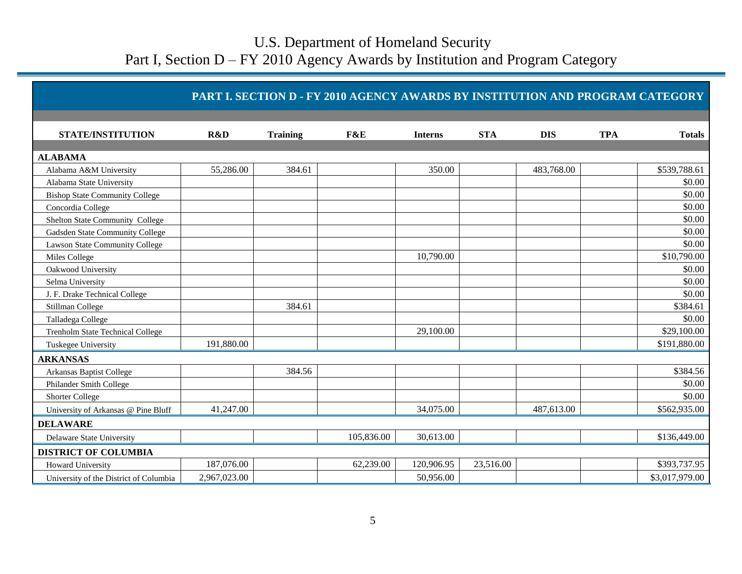|                                         |              |                 | PART I. SECTION D - FY 2010 AGENCY AWARDS BY INSTITUTION AND PROGRAM CATEGORY |                |            |            |            |                |
|-----------------------------------------|--------------|-----------------|-------------------------------------------------------------------------------|----------------|------------|------------|------------|----------------|
|                                         |              |                 |                                                                               |                |            |            |            |                |
| <b>STATE/INSTITUTION</b>                | R&D          | <b>Training</b> | F&E                                                                           | <b>Interns</b> | <b>STA</b> | <b>DIS</b> | <b>TPA</b> | <b>Totals</b>  |
|                                         |              |                 |                                                                               |                |            |            |            |                |
| <b>ALABAMA</b>                          |              |                 |                                                                               |                |            |            |            |                |
| Alabama A&M University                  | 55,286.00    | 384.61          |                                                                               | 350.00         |            | 483,768.00 |            | \$539,788.61   |
| Alabama State University                |              |                 |                                                                               |                |            |            |            | \$0.00         |
| <b>Bishop State Community College</b>   |              |                 |                                                                               |                |            |            |            | \$0.00         |
| Concordia College                       |              |                 |                                                                               |                |            |            |            | \$0.00         |
| Shelton State Community College         |              |                 |                                                                               |                |            |            |            | \$0.00         |
| Gadsden State Community College         |              |                 |                                                                               |                |            |            |            | \$0.00         |
| <b>Lawson State Community College</b>   |              |                 |                                                                               |                |            |            |            | \$0.00         |
| Miles College                           |              |                 |                                                                               | 10,790.00      |            |            |            | \$10,790.00    |
| Oakwood University                      |              |                 |                                                                               |                |            |            |            | \$0.00         |
| Selma University                        |              |                 |                                                                               |                |            |            |            | \$0.00         |
| J. F. Drake Technical College           |              |                 |                                                                               |                |            |            |            | \$0.00         |
| Stillman College                        |              | 384.61          |                                                                               |                |            |            |            | \$384.61       |
| Talladega College                       |              |                 |                                                                               |                |            |            |            | \$0.00         |
| <b>Trenholm State Technical College</b> |              |                 |                                                                               | 29,100.00      |            |            |            | \$29,100.00    |
| Tuskegee University                     | 191,880.00   |                 |                                                                               |                |            |            |            | \$191,880.00   |
| <b>ARKANSAS</b>                         |              |                 |                                                                               |                |            |            |            |                |
| Arkansas Baptist College                |              | 384.56          |                                                                               |                |            |            |            | \$384.56       |
| Philander Smith College                 |              |                 |                                                                               |                |            |            |            | \$0.00         |
| <b>Shorter College</b>                  |              |                 |                                                                               |                |            |            |            | \$0.00         |
| University of Arkansas @ Pine Bluff     | 41,247.00    |                 |                                                                               | 34,075.00      |            | 487,613.00 |            | \$562,935.00   |
| <b>DELAWARE</b>                         |              |                 |                                                                               |                |            |            |            |                |
| Delaware State University               |              |                 | 105,836.00                                                                    | 30,613.00      |            |            |            | \$136,449.00   |
| <b>DISTRICT OF COLUMBIA</b>             |              |                 |                                                                               |                |            |            |            |                |
| <b>Howard University</b>                | 187,076.00   |                 | 62,239.00                                                                     | 120,906.95     | 23,516.00  |            |            | \$393,737.95   |
| University of the District of Columbia  | 2,967,023.00 |                 |                                                                               | 50,956.00      |            |            |            | \$3,017,979.00 |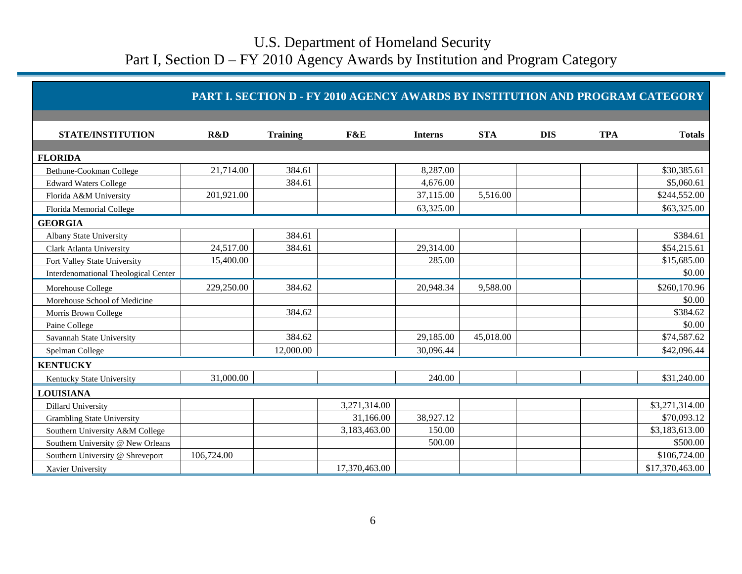| <b>PART I. SECTION D - FY 2010 AGENCY AWARDS BY INSTITUTION AND PROGRAM CATEGORY</b> |
|--------------------------------------------------------------------------------------|
|--------------------------------------------------------------------------------------|

| <b>STATE/INSTITUTION</b>                    | R&D        | <b>Training</b> | F&E           | <b>Interns</b> | <b>STA</b> | <b>DIS</b> | <b>TPA</b> | <b>Totals</b>   |
|---------------------------------------------|------------|-----------------|---------------|----------------|------------|------------|------------|-----------------|
|                                             |            |                 |               |                |            |            |            |                 |
| <b>FLORIDA</b>                              |            |                 |               |                |            |            |            |                 |
| Bethune-Cookman College                     | 21,714.00  | 384.61          |               | 8,287.00       |            |            |            | \$30,385.61     |
| <b>Edward Waters College</b>                |            | 384.61          |               | 4,676.00       |            |            |            | \$5,060.61      |
| Florida A&M University                      | 201,921.00 |                 |               | 37,115.00      | 5,516.00   |            |            | \$244,552.00    |
| Florida Memorial College                    |            |                 |               | 63,325.00      |            |            |            | \$63,325.00     |
| <b>GEORGIA</b>                              |            |                 |               |                |            |            |            |                 |
| Albany State University                     |            | 384.61          |               |                |            |            |            | \$384.61        |
| Clark Atlanta University                    | 24,517.00  | 384.61          |               | 29,314.00      |            |            |            | \$54,215.61     |
| Fort Valley State University                | 15,400.00  |                 |               | 285.00         |            |            |            | \$15,685.00     |
| <b>Interdenomational Theological Center</b> |            |                 |               |                |            |            |            | \$0.00          |
| Morehouse College                           | 229,250.00 | 384.62          |               | 20,948.34      | 9,588.00   |            |            | \$260,170.96    |
| Morehouse School of Medicine                |            |                 |               |                |            |            |            | \$0.00          |
| Morris Brown College                        |            | 384.62          |               |                |            |            |            | \$384.62        |
| Paine College                               |            |                 |               |                |            |            |            | \$0.00          |
| Savannah State University                   |            | 384.62          |               | 29,185.00      | 45,018.00  |            |            | \$74,587.62     |
| Spelman College                             |            | 12,000.00       |               | 30,096.44      |            |            |            | \$42,096.44     |
| <b>KENTUCKY</b>                             |            |                 |               |                |            |            |            |                 |
| Kentucky State University                   | 31,000.00  |                 |               | 240.00         |            |            |            | \$31,240.00     |
| <b>LOUISIANA</b>                            |            |                 |               |                |            |            |            |                 |
| <b>Dillard University</b>                   |            |                 | 3,271,314.00  |                |            |            |            | \$3,271,314.00  |
| <b>Grambling State University</b>           |            |                 | 31,166.00     | 38,927.12      |            |            |            | \$70,093.12     |
| Southern University A&M College             |            |                 | 3,183,463.00  | 150.00         |            |            |            | \$3,183,613.00  |
| Southern University @ New Orleans           |            |                 |               | 500.00         |            |            |            | \$500.00        |
| Southern University @ Shreveport            | 106,724.00 |                 |               |                |            |            |            | \$106,724.00    |
| Xavier University                           |            |                 | 17,370,463.00 |                |            |            |            | \$17,370,463.00 |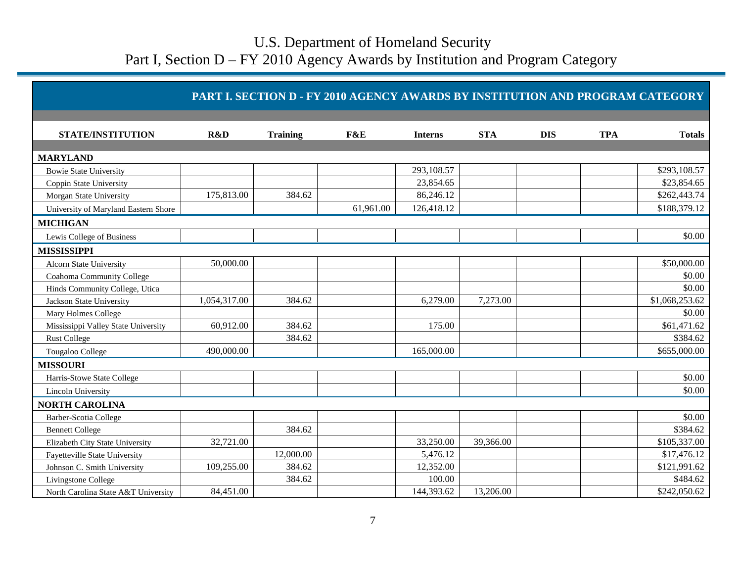|                                      |              |                 | PART I. SECTION D - FY 2010 AGENCY AWARDS BY INSTITUTION AND PROGRAM CATEGORY |                |            |            |            |                |
|--------------------------------------|--------------|-----------------|-------------------------------------------------------------------------------|----------------|------------|------------|------------|----------------|
| <b>STATE/INSTITUTION</b>             | R&D          | <b>Training</b> | F&E                                                                           | <b>Interns</b> | <b>STA</b> | <b>DIS</b> | <b>TPA</b> | <b>Totals</b>  |
| <b>MARYLAND</b>                      |              |                 |                                                                               |                |            |            |            |                |
| <b>Bowie State University</b>        |              |                 |                                                                               | 293,108.57     |            |            |            | \$293,108.57   |
| Coppin State University              |              |                 |                                                                               | 23,854.65      |            |            |            | \$23,854.65    |
| Morgan State University              | 175,813.00   | 384.62          |                                                                               | 86,246.12      |            |            |            | \$262,443.74   |
| University of Maryland Eastern Shore |              |                 | 61,961.00                                                                     | 126,418.12     |            |            |            | \$188,379.12   |
| <b>MICHIGAN</b>                      |              |                 |                                                                               |                |            |            |            |                |
| Lewis College of Business            |              |                 |                                                                               |                |            |            |            | \$0.00         |
| <b>MISSISSIPPI</b>                   |              |                 |                                                                               |                |            |            |            |                |
| <b>Alcorn State University</b>       | 50,000.00    |                 |                                                                               |                |            |            |            | \$50,000.00    |
| Coahoma Community College            |              |                 |                                                                               |                |            |            |            | \$0.00         |
| Hinds Community College, Utica       |              |                 |                                                                               |                |            |            |            | \$0.00         |
| Jackson State University             | 1,054,317.00 | 384.62          |                                                                               | 6,279.00       | 7,273.00   |            |            | \$1,068,253.62 |
| Mary Holmes College                  |              |                 |                                                                               |                |            |            |            | \$0.00         |
| Mississippi Valley State University  | 60,912.00    | 384.62          |                                                                               | 175.00         |            |            |            | \$61,471.62    |
| <b>Rust College</b>                  |              | 384.62          |                                                                               |                |            |            |            | \$384.62       |
| Tougaloo College                     | 490,000.00   |                 |                                                                               | 165,000.00     |            |            |            | \$655,000.00   |
| <b>MISSOURI</b>                      |              |                 |                                                                               |                |            |            |            |                |
| Harris-Stowe State College           |              |                 |                                                                               |                |            |            |            | \$0.00         |
| Lincoln University                   |              |                 |                                                                               |                |            |            |            | \$0.00         |
| <b>NORTH CAROLINA</b>                |              |                 |                                                                               |                |            |            |            |                |
| Barber-Scotia College                |              |                 |                                                                               |                |            |            |            | \$0.00         |
| <b>Bennett College</b>               |              | 384.62          |                                                                               |                |            |            |            | \$384.62       |
| Elizabeth City State University      | 32,721.00    |                 |                                                                               | 33,250.00      | 39,366.00  |            |            | \$105,337.00   |
| <b>Fayetteville State University</b> |              | 12,000.00       |                                                                               | 5,476.12       |            |            |            | \$17,476.12    |
| Johnson C. Smith University          | 109,255.00   | 384.62          |                                                                               | 12,352.00      |            |            |            | \$121,991.62   |
| Livingstone College                  |              | 384.62          |                                                                               | 100.00         |            |            |            | \$484.62       |
| North Carolina State A&T University  | 84,451.00    |                 |                                                                               | 144,393.62     | 13,206.00  |            |            | \$242,050.62   |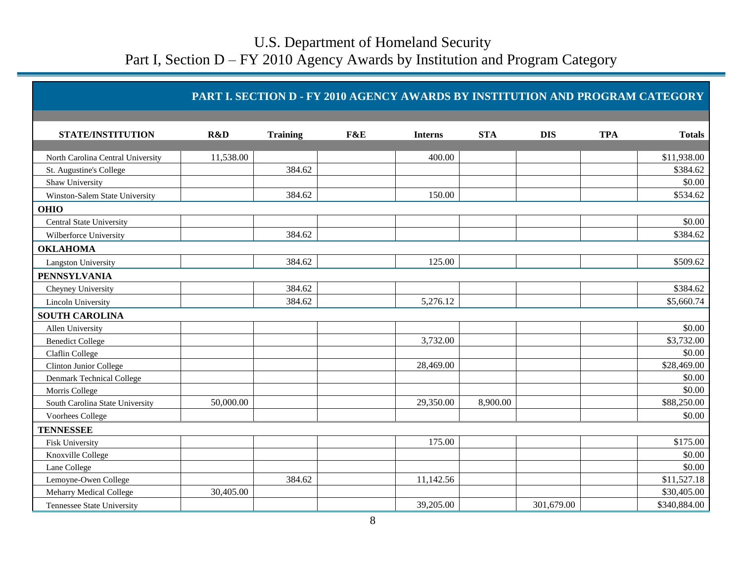| <b>STATE/INSTITUTION</b>          | R&D       | <b>Training</b> | F&E | <b>Interns</b> | <b>STA</b> | <b>DIS</b> | <b>TPA</b> | <b>Totals</b> |
|-----------------------------------|-----------|-----------------|-----|----------------|------------|------------|------------|---------------|
|                                   |           |                 |     |                |            |            |            |               |
| North Carolina Central University | 11,538.00 |                 |     | 400.00         |            |            |            | \$11,938.00   |
| St. Augustine's College           |           | 384.62          |     |                |            |            |            | \$384.62      |
| Shaw University                   |           |                 |     |                |            |            |            | \$0.00        |
| Winston-Salem State University    |           | 384.62          |     | 150.00         |            |            |            | \$534.62      |
| <b>OHIO</b>                       |           |                 |     |                |            |            |            |               |
| <b>Central State University</b>   |           |                 |     |                |            |            |            | \$0.00        |
| Wilberforce University            |           | 384.62          |     |                |            |            |            | \$384.62      |
| <b>OKLAHOMA</b>                   |           |                 |     |                |            |            |            |               |
| Langston University               |           | 384.62          |     | 125.00         |            |            |            | \$509.62      |
| <b>PENNSYLVANIA</b>               |           |                 |     |                |            |            |            |               |
| Cheyney University                |           | 384.62          |     |                |            |            |            | \$384.62      |
| Lincoln University                |           | 384.62          |     | 5,276.12       |            |            |            | \$5,660.74    |
| <b>SOUTH CAROLINA</b>             |           |                 |     |                |            |            |            |               |
| Allen University                  |           |                 |     |                |            |            |            | \$0.00        |
| <b>Benedict College</b>           |           |                 |     | 3,732.00       |            |            |            | \$3,732.00    |
| Claflin College                   |           |                 |     |                |            |            |            | \$0.00        |
| Clinton Junior College            |           |                 |     | 28,469.00      |            |            |            | \$28,469.00   |
| Denmark Technical College         |           |                 |     |                |            |            |            | \$0.00        |
| Morris College                    |           |                 |     |                |            |            |            | \$0.00        |
| South Carolina State University   | 50,000.00 |                 |     | 29,350.00      | 8,900.00   |            |            | \$88,250.00   |
| Voorhees College                  |           |                 |     |                |            |            |            | \$0.00        |
| <b>TENNESSEE</b>                  |           |                 |     |                |            |            |            |               |
| Fisk University                   |           |                 |     | 175.00         |            |            |            | \$175.00      |
| Knoxville College                 |           |                 |     |                |            |            |            | \$0.00        |
| Lane College                      |           |                 |     |                |            |            |            | \$0.00        |
| Lemoyne-Owen College              |           | 384.62          |     | 11,142.56      |            |            |            | \$11,527.18   |
| Meharry Medical College           | 30,405.00 |                 |     |                |            |            |            | \$30,405.00   |
| Tennessee State University        |           |                 |     | 39,205.00      |            | 301,679.00 |            | \$340,884.00  |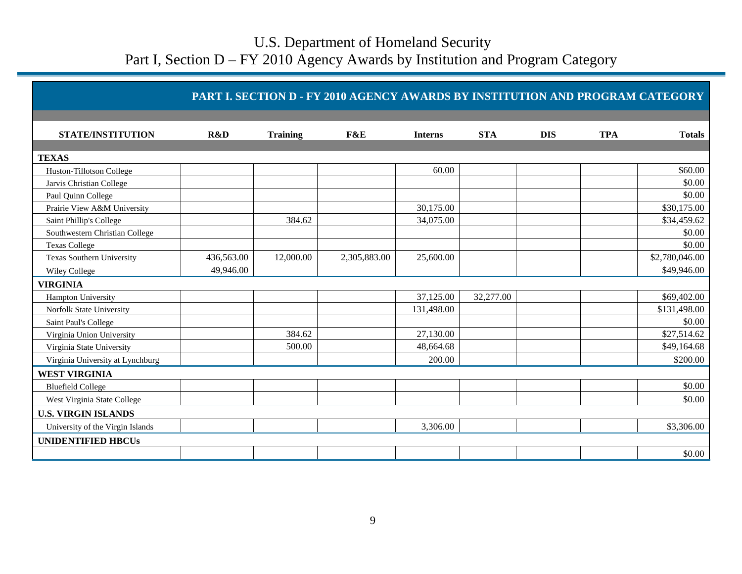|                                  |            |                 | PART I. SECTION D - FY 2010 AGENCY AWARDS BY INSTITUTION AND PROGRAM CATEGORY |                |            |            |            |                |
|----------------------------------|------------|-----------------|-------------------------------------------------------------------------------|----------------|------------|------------|------------|----------------|
| <b>STATE/INSTITUTION</b>         | R&D        | <b>Training</b> | F&E                                                                           | <b>Interns</b> | <b>STA</b> | <b>DIS</b> | <b>TPA</b> | <b>Totals</b>  |
|                                  |            |                 |                                                                               |                |            |            |            |                |
| <b>TEXAS</b>                     |            |                 |                                                                               |                |            |            |            |                |
| Huston-Tillotson College         |            |                 |                                                                               | 60.00          |            |            |            | \$60.00        |
| Jarvis Christian College         |            |                 |                                                                               |                |            |            |            | \$0.00         |
| Paul Quinn College               |            |                 |                                                                               |                |            |            |            | \$0.00         |
| Prairie View A&M University      |            |                 |                                                                               | 30,175.00      |            |            |            | \$30,175.00    |
| Saint Phillip's College          |            | 384.62          |                                                                               | 34,075.00      |            |            |            | \$34,459.62    |
| Southwestern Christian College   |            |                 |                                                                               |                |            |            |            | \$0.00         |
| <b>Texas College</b>             |            |                 |                                                                               |                |            |            |            | \$0.00         |
| <b>Texas Southern University</b> | 436,563.00 | 12,000.00       | 2,305,883.00                                                                  | 25,600.00      |            |            |            | \$2,780,046.00 |
| Wiley College                    | 49,946.00  |                 |                                                                               |                |            |            |            | \$49,946.00    |
| <b>VIRGINIA</b>                  |            |                 |                                                                               |                |            |            |            |                |
| Hampton University               |            |                 |                                                                               | 37,125.00      | 32,277.00  |            |            | \$69,402.00    |
| Norfolk State University         |            |                 |                                                                               | 131,498.00     |            |            |            | \$131,498.00   |
| Saint Paul's College             |            |                 |                                                                               |                |            |            |            | \$0.00         |
| Virginia Union University        |            | 384.62          |                                                                               | 27,130.00      |            |            |            | \$27,514.62    |
| Virginia State University        |            | 500.00          |                                                                               | 48,664.68      |            |            |            | \$49,164.68    |
| Virginia University at Lynchburg |            |                 |                                                                               | 200.00         |            |            |            | \$200.00       |
| <b>WEST VIRGINIA</b>             |            |                 |                                                                               |                |            |            |            |                |
| <b>Bluefield College</b>         |            |                 |                                                                               |                |            |            |            | \$0.00         |
| West Virginia State College      |            |                 |                                                                               |                |            |            |            | \$0.00         |
| <b>U.S. VIRGIN ISLANDS</b>       |            |                 |                                                                               |                |            |            |            |                |
| University of the Virgin Islands |            |                 |                                                                               | 3,306.00       |            |            |            | \$3,306.00     |
| <b>UNIDENTIFIED HBCUs</b>        |            |                 |                                                                               |                |            |            |            |                |
|                                  |            |                 |                                                                               |                |            |            |            | \$0.00         |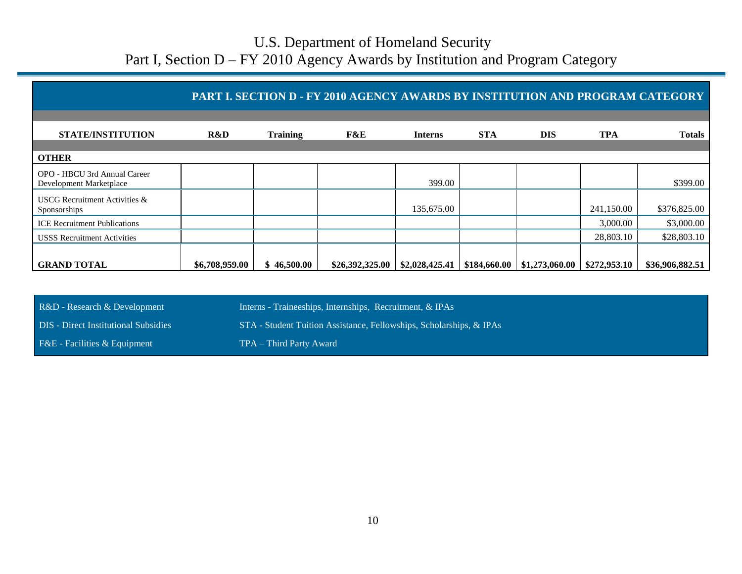|                                                         |                |                 | PART I. SECTION D - FY 2010 AGENCY AWARDS BY INSTITUTION AND PROGRAM CATEGORY |                |              |                |              |                 |
|---------------------------------------------------------|----------------|-----------------|-------------------------------------------------------------------------------|----------------|--------------|----------------|--------------|-----------------|
| <b>STATE/INSTITUTION</b>                                | R&D            | <b>Training</b> | F&E                                                                           | <b>Interns</b> | <b>STA</b>   | <b>DIS</b>     | <b>TPA</b>   | <b>Totals</b>   |
| <b>OTHER</b>                                            |                |                 |                                                                               |                |              |                |              |                 |
| OPO - HBCU 3rd Annual Career<br>Development Marketplace |                |                 |                                                                               | 399.00         |              |                |              | \$399.00        |
| <b>USCG</b> Recruitment Activities &<br>Sponsorships    |                |                 |                                                                               | 135,675.00     |              |                | 241,150.00   | \$376,825.00    |
| <b>ICE</b> Recruitment Publications                     |                |                 |                                                                               |                |              |                | 3,000.00     | \$3,000.00      |
| <b>USSS</b> Recruitment Activities                      |                |                 |                                                                               |                |              |                | 28,803.10    | \$28,803.10     |
| <b>GRAND TOTAL</b>                                      | \$6,708,959.00 | \$46,500.00     | \$26,392,325.00                                                               | \$2,028,425.41 | \$184,660.00 | \$1,273,060.00 | \$272,953.10 | \$36,906,882.51 |

R&D - Research & Development Interns - Traineeships, Internships, Recruitment, & IPAs DIS - Direct Institutional Subsidies STA - Student Tuition Assistance, Fellowships, Scholarships, & IPAs F&E - Facilities & Equipment TPA – Third Party Award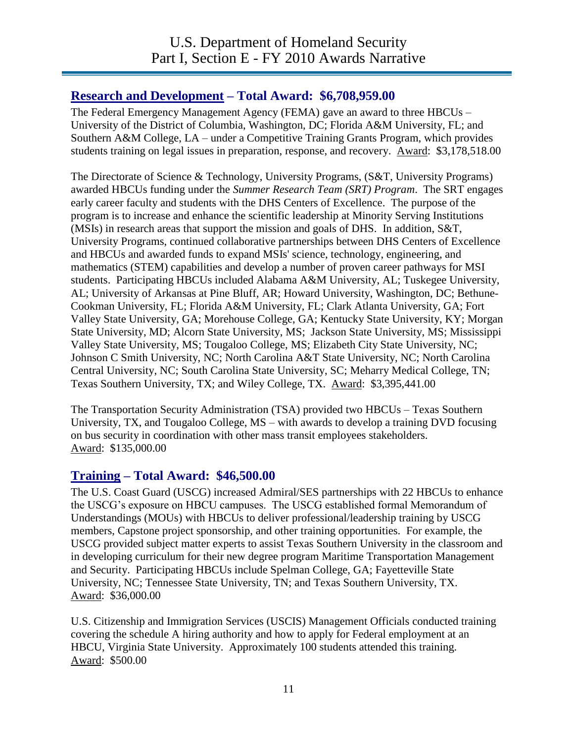#### **Research and Development – Total Award: \$6,708,959.00**

The Federal Emergency Management Agency (FEMA) gave an award to three HBCUs – University of the District of Columbia, Washington, DC; Florida A&M University, FL; and Southern A&M College, LA – under a Competitive Training Grants Program, which provides students training on legal issues in preparation, response, and recovery. Award: \$3,178,518.00

The Directorate of Science & Technology, University Programs, (S&T, University Programs) awarded HBCUs funding under the *Summer Research Team (SRT) Program*. The SRT engages early career faculty and students with the DHS Centers of Excellence. The purpose of the program is to increase and enhance the scientific leadership at Minority Serving Institutions (MSIs) in research areas that support the mission and goals of DHS. In addition, S&T, University Programs, continued collaborative partnerships between DHS Centers of Excellence and HBCUs and awarded funds to expand MSIs' science, technology, engineering, and mathematics (STEM) capabilities and develop a number of proven career pathways for MSI students. Participating HBCUs included Alabama A&M University, AL; Tuskegee University, AL; University of Arkansas at Pine Bluff, AR; Howard University, Washington, DC; Bethune-Cookman University, FL; Florida A&M University, FL; Clark Atlanta University, GA; Fort Valley State University, GA; Morehouse College, GA; Kentucky State University, KY; Morgan State University, MD; Alcorn State University, MS; Jackson State University, MS; Mississippi Valley State University, MS; Tougaloo College, MS; Elizabeth City State University, NC; Johnson C Smith University, NC; North Carolina A&T State University, NC; North Carolina Central University, NC; South Carolina State University, SC; Meharry Medical College, TN; Texas Southern University, TX; and Wiley College, TX. Award: \$3,395,441.00

The Transportation Security Administration (TSA) provided two HBCUs – Texas Southern University, TX, and Tougaloo College, MS – with awards to develop a training DVD focusing on bus security in coordination with other mass transit employees stakeholders. Award: \$135,000.00

#### **Training – Total Award: \$46,500.00**

The U.S. Coast Guard (USCG) increased Admiral/SES partnerships with 22 HBCUs to enhance the USCG's exposure on HBCU campuses. The USCG established formal Memorandum of Understandings (MOUs) with HBCUs to deliver professional/leadership training by USCG members, Capstone project sponsorship, and other training opportunities. For example, the USCG provided subject matter experts to assist Texas Southern University in the classroom and in developing curriculum for their new degree program Maritime Transportation Management and Security. Participating HBCUs include Spelman College, GA; Fayetteville State University, NC; Tennessee State University, TN; and Texas Southern University, TX. Award: \$36,000.00

U.S. Citizenship and Immigration Services (USCIS) Management Officials conducted training covering the schedule A hiring authority and how to apply for Federal employment at an HBCU, Virginia State University. Approximately 100 students attended this training. Award: \$500.00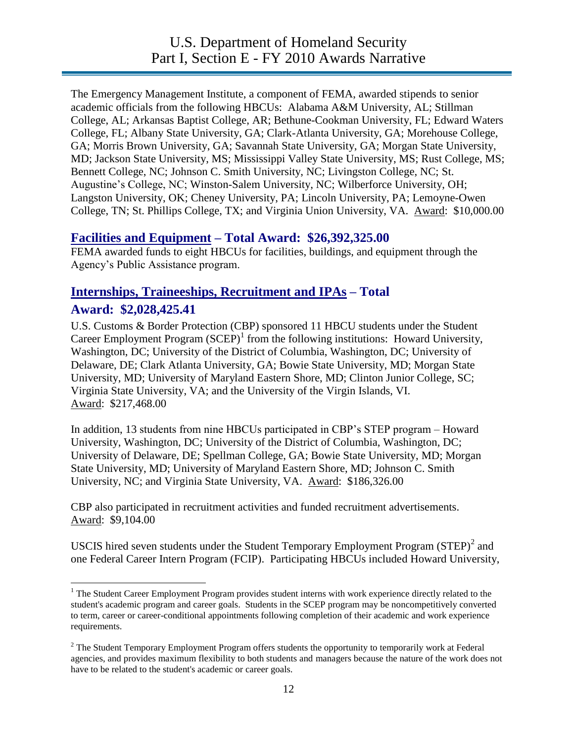The Emergency Management Institute, a component of FEMA, awarded stipends to senior academic officials from the following HBCUs: Alabama A&M University, AL; Stillman College, AL; Arkansas Baptist College, AR; Bethune-Cookman University, FL; Edward Waters College, FL; Albany State University, GA; Clark-Atlanta University, GA; Morehouse College, GA; Morris Brown University, GA; Savannah State University, GA; Morgan State University, MD; Jackson State University, MS; Mississippi Valley State University, MS; Rust College, MS; Bennett College, NC; Johnson C. Smith University, NC; Livingston College, NC; St. Augustine's College, NC; Winston-Salem University, NC; Wilberforce University, OH; Langston University, OK; Cheney University, PA; Lincoln University, PA; Lemoyne-Owen College, TN; St. Phillips College, TX; and Virginia Union University, VA. Award: \$10,000.00

#### **Facilities and Equipment – Total Award: \$26,392,325.00**

FEMA awarded funds to eight HBCUs for facilities, buildings, and equipment through the Agency's Public Assistance program.

#### **Internships, Traineeships, Recruitment and IPAs – Total Award: \$2,028,425.41**

U.S. Customs & Border Protection (CBP) sponsored 11 HBCU students under the Student Career Employment Program  $(SCEP)^1$  from the following institutions: Howard University, Washington, DC; University of the District of Columbia, Washington, DC; University of Delaware, DE; Clark Atlanta University, GA; Bowie State University, MD; Morgan State University, MD; University of Maryland Eastern Shore, MD; Clinton Junior College, SC; Virginia State University, VA; and the University of the Virgin Islands, VI. Award: \$217,468.00

In addition, 13 students from nine HBCUs participated in CBP's STEP program – Howard University, Washington, DC; University of the District of Columbia, Washington, DC; University of Delaware, DE; Spellman College, GA; Bowie State University, MD; Morgan State University, MD; University of Maryland Eastern Shore, MD; Johnson C. Smith University, NC; and Virginia State University, VA. Award: \$186,326.00

CBP also participated in recruitment activities and funded recruitment advertisements. Award: \$9,104.00

USCIS hired seven students under the Student Temporary Employment Program  $(STEP)^2$  and one Federal Career Intern Program (FCIP). Participating HBCUs included Howard University,

 $\overline{a}$  $<sup>1</sup>$  The Student Career Employment Program provides student interns with work experience directly related to the</sup> student's academic program and career goals. Students in the SCEP program may be noncompetitively converted to term, career or career-conditional appointments following completion of their academic and work experience requirements.

 $2$  The Student Temporary Employment Program offers students the opportunity to temporarily work at Federal agencies, and provides maximum flexibility to both students and managers because the nature of the work does not have to be related to the student's academic or career goals.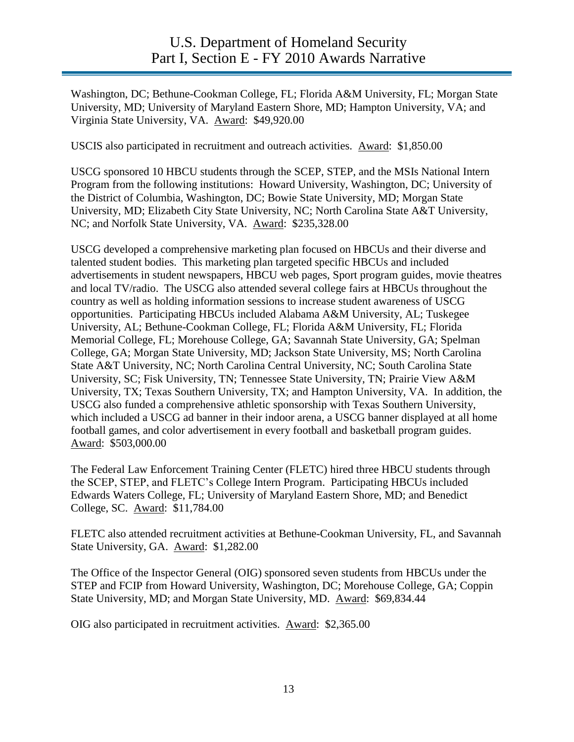Washington, DC; Bethune-Cookman College, FL; Florida A&M University, FL; Morgan State University, MD; University of Maryland Eastern Shore, MD; Hampton University, VA; and Virginia State University, VA. Award: \$49,920.00

USCIS also participated in recruitment and outreach activities. Award: \$1,850.00

USCG sponsored 10 HBCU students through the SCEP, STEP, and the MSIs National Intern Program from the following institutions: Howard University, Washington, DC; University of the District of Columbia, Washington, DC; Bowie State University, MD; Morgan State University, MD; Elizabeth City State University, NC; North Carolina State A&T University, NC; and Norfolk State University, VA. Award: \$235,328.00

USCG developed a comprehensive marketing plan focused on HBCUs and their diverse and talented student bodies. This marketing plan targeted specific HBCUs and included advertisements in student newspapers, HBCU web pages, Sport program guides, movie theatres and local TV/radio. The USCG also attended several college fairs at HBCUs throughout the country as well as holding information sessions to increase student awareness of USCG opportunities. Participating HBCUs included Alabama A&M University, AL; Tuskegee University, AL; Bethune-Cookman College, FL; Florida A&M University, FL; Florida Memorial College, FL; Morehouse College, GA; Savannah State University, GA; Spelman College, GA; Morgan State University, MD; Jackson State University, MS; North Carolina State A&T University, NC; North Carolina Central University, NC; South Carolina State University, SC; Fisk University, TN; Tennessee State University, TN; Prairie View A&M University, TX; Texas Southern University, TX; and Hampton University, VA. In addition, the USCG also funded a comprehensive athletic sponsorship with Texas Southern University, which included a USCG ad banner in their indoor arena, a USCG banner displayed at all home football games, and color advertisement in every football and basketball program guides. Award: \$503,000.00

The Federal Law Enforcement Training Center (FLETC) hired three HBCU students through the SCEP, STEP, and FLETC's College Intern Program. Participating HBCUs included Edwards Waters College, FL; University of Maryland Eastern Shore, MD; and Benedict College, SC. Award: \$11,784.00

FLETC also attended recruitment activities at Bethune-Cookman University, FL, and Savannah State University, GA. Award: \$1,282.00

The Office of the Inspector General (OIG) sponsored seven students from HBCUs under the STEP and FCIP from Howard University, Washington, DC; Morehouse College, GA; Coppin State University, MD; and Morgan State University, MD. Award: \$69,834.44

OIG also participated in recruitment activities. Award: \$2,365.00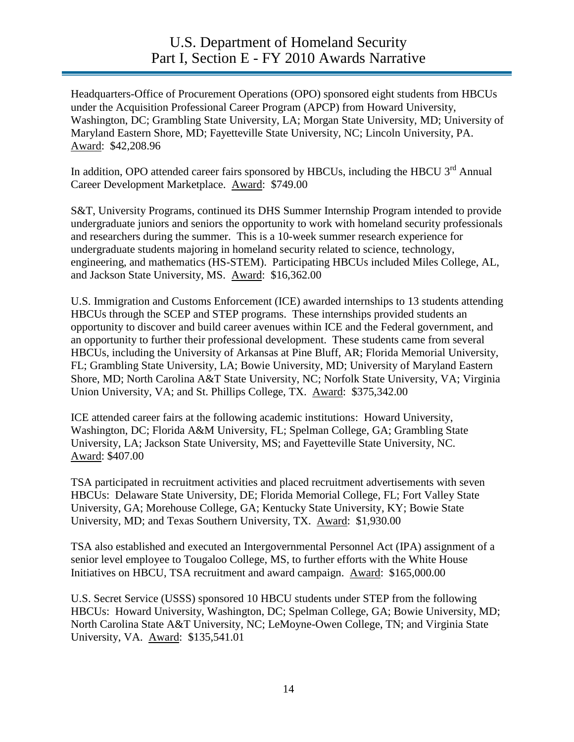Headquarters-Office of Procurement Operations (OPO) sponsored eight students from HBCUs under the Acquisition Professional Career Program (APCP) from Howard University, Washington, DC; Grambling State University, LA; Morgan State University, MD; University of Maryland Eastern Shore, MD; Fayetteville State University, NC; Lincoln University, PA. Award: \$42,208.96

In addition, OPO attended career fairs sponsored by HBCUs, including the HBCU 3<sup>rd</sup> Annual Career Development Marketplace. Award: \$749.00

S&T, University Programs, continued its DHS Summer Internship Program intended to provide undergraduate juniors and seniors the opportunity to work with homeland security professionals and researchers during the summer. This is a 10-week summer research experience for undergraduate students majoring in homeland security related to science, technology, engineering, and mathematics (HS-STEM). Participating HBCUs included Miles College, AL, and Jackson State University, MS. Award: \$16,362.00

U.S. Immigration and Customs Enforcement (ICE) awarded internships to 13 students attending HBCUs through the SCEP and STEP programs. These internships provided students an opportunity to discover and build career avenues within ICE and the Federal government, and an opportunity to further their professional development. These students came from several HBCUs, including the University of Arkansas at Pine Bluff, AR; Florida Memorial University, FL; Grambling State University, LA; Bowie University, MD; University of Maryland Eastern Shore, MD; North Carolina A&T State University, NC; Norfolk State University, VA; Virginia Union University, VA; and St. Phillips College, TX. Award: \$375,342.00

ICE attended career fairs at the following academic institutions: Howard University, Washington, DC; Florida A&M University, FL; Spelman College, GA; Grambling State University, LA; Jackson State University, MS; and Fayetteville State University, NC. Award: \$407.00

TSA participated in recruitment activities and placed recruitment advertisements with seven HBCUs: Delaware State University, DE; Florida Memorial College, FL; Fort Valley State University, GA; Morehouse College, GA; Kentucky State University, KY; Bowie State University, MD; and Texas Southern University, TX. Award: \$1,930.00

TSA also established and executed an Intergovernmental Personnel Act (IPA) assignment of a senior level employee to Tougaloo College, MS, to further efforts with the White House Initiatives on HBCU, TSA recruitment and award campaign. Award: \$165,000.00

U.S. Secret Service (USSS) sponsored 10 HBCU students under STEP from the following HBCUs: Howard University, Washington, DC; Spelman College, GA; Bowie University, MD; North Carolina State A&T University, NC; LeMoyne-Owen College, TN; and Virginia State University, VA. Award: \$135,541.01